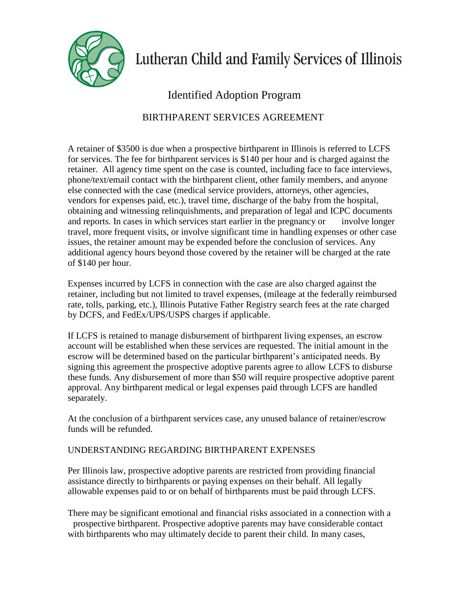

## Lutheran Child and Family Services of Illinois

## Identified Adoption Program

## BIRTHPARENT SERVICES AGREEMENT

A retainer of \$3500 is due when a prospective birthparent in Illinois is referred to LCFS for services. The fee for birthparent services is \$140 per hour and is charged against the retainer. All agency time spent on the case is counted, including face to face interviews, phone/text/email contact with the birthparent client, other family members, and anyone else connected with the case (medical service providers, attorneys, other agencies, vendors for expenses paid, etc.), travel time, discharge of the baby from the hospital, obtaining and witnessing relinquishments, and preparation of legal and ICPC documents and reports. In cases in which services start earlier in the pregnancy or involve longer travel, more frequent visits, or involve significant time in handling expenses or other case issues, the retainer amount may be expended before the conclusion of services. Any additional agency hours beyond those covered by the retainer will be charged at the rate of \$140 per hour.

Expenses incurred by LCFS in connection with the case are also charged against the retainer, including but not limited to travel expenses, (mileage at the federally reimbursed rate, tolls, parking, etc.), Illinois Putative Father Registry search fees at the rate charged by DCFS, and FedEx/UPS/USPS charges if applicable.

If LCFS is retained to manage disbursement of birthparent living expenses, an escrow account will be established when these services are requested. The initial amount in the escrow will be determined based on the particular birthparent's anticipated needs. By signing this agreement the prospective adoptive parents agree to allow LCFS to disburse these funds. Any disbursement of more than \$50 will require prospective adoptive parent approval. Any birthparent medical or legal expenses paid through LCFS are handled separately.

At the conclusion of a birthparent services case, any unused balance of retainer/escrow funds will be refunded.

## UNDERSTANDING REGARDING BIRTHPARENT EXPENSES

Per Illinois law, prospective adoptive parents are restricted from providing financial assistance directly to birthparents or paying expenses on their behalf. All legally allowable expenses paid to or on behalf of birthparents must be paid through LCFS.

There may be significant emotional and financial risks associated in a connection with a prospective birthparent. Prospective adoptive parents may have considerable contact with birthparents who may ultimately decide to parent their child. In many cases,